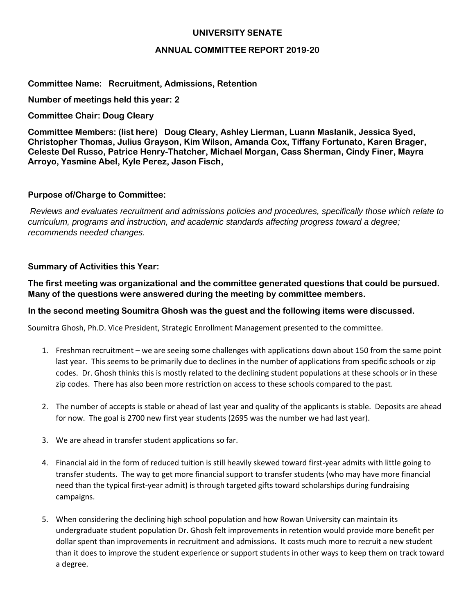# **UNIVERSITY SENATE**

### **ANNUAL COMMITTEE REPORT 2019-20**

# **Committee Name: Recruitment, Admissions, Retention**

**Number of meetings held this year: 2**

**Committee Chair: Doug Cleary**

**Committee Members: (list here) Doug Cleary, Ashley Lierman, Luann Maslanik, Jessica Syed, Christopher Thomas, Julius Grayson, Kim Wilson, Amanda Cox, Tiffany Fortunato, Karen Brager, Celeste Del Russo, Patrice Henry-Thatcher, Michael Morgan, Cass Sherman, Cindy Finer, Mayra Arroyo, Yasmine Abel, Kyle Perez, Jason Fisch,** 

### **Purpose of/Charge to Committee:**

*Reviews and evaluates recruitment and admissions policies and procedures, specifically those which relate to curriculum, programs and instruction, and academic standards affecting progress toward a degree; recommends needed changes.*

### **Summary of Activities this Year:**

**The first meeting was organizational and the committee generated questions that could be pursued. Many of the questions were answered during the meeting by committee members.**

#### **In the second meeting Soumitra Ghosh was the guest and the following items were discussed.**

Soumitra Ghosh, Ph.D. Vice President, Strategic Enrollment Management presented to the committee.

- 1. Freshman recruitment we are seeing some challenges with applications down about 150 from the same point last year. This seems to be primarily due to declines in the number of applications from specific schools or zip codes. Dr. Ghosh thinks this is mostly related to the declining student populations at these schools or in these zip codes. There has also been more restriction on access to these schools compared to the past.
- 2. The number of accepts is stable or ahead of last year and quality of the applicants is stable. Deposits are ahead for now. The goal is 2700 new first year students (2695 was the number we had last year).
- 3. We are ahead in transfer student applications so far.
- 4. Financial aid in the form of reduced tuition is still heavily skewed toward first-year admits with little going to transfer students. The way to get more financial support to transfer students (who may have more financial need than the typical first-year admit) is through targeted gifts toward scholarships during fundraising campaigns.
- 5. When considering the declining high school population and how Rowan University can maintain its undergraduate student population Dr. Ghosh felt improvements in retention would provide more benefit per dollar spent than improvements in recruitment and admissions. It costs much more to recruit a new student than it does to improve the student experience or support students in other ways to keep them on track toward a degree.